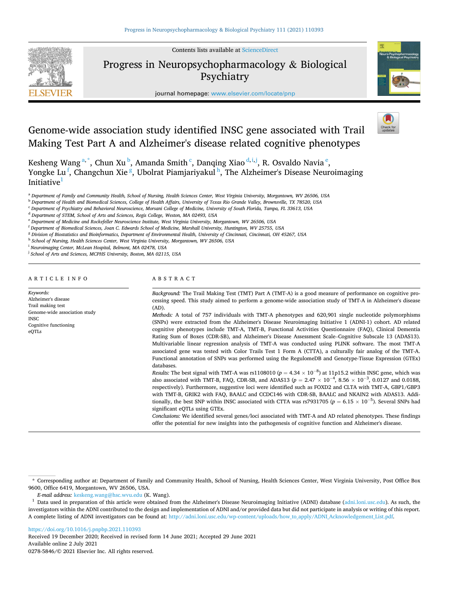Contents lists available at [ScienceDirect](www.sciencedirect.com/science/journal/02785846)



Progress in Neuropsychopharmacology & Biological Psychiatry

journal homepage: [www.elsevier.com/locate/pnp](https://www.elsevier.com/locate/pnp) 



# Genome-wide association study identified INSC gene associated with Trail Making Test Part A and Alzheimer's disease related cognitive phenotypes

Kesheng Wang<sup>a,\*</sup>, Chun Xu<sup>b</sup>, Amanda Smith<sup>c</sup>, Danqing Xiao<sup>d,i,j</sup>, R. Osvaldo Navia<sup>e</sup>, Yongke Lu <sup>f</sup>, Changchun Xie <sup>g</sup>, Ubolrat Piamjariyakul <sup>h</sup>, The Alzheimer's Disease Neuroimaging Initiative $1$ 

<sup>a</sup> *Department of Family and Community Health, School of Nursing, Health Sciences Center, West Virginia University, Morgantown, WV 26506, USA* 

<sup>b</sup> *Department of Health and Biomedical Sciences, College of Health Affairs, University of Texas Rio Grande Valley, Brownsville, TX 78520, USA* 

<sup>c</sup> *Department of Psychiatry and Behavioral Neuroscience, Morsani College of Medicine, University of South Florida, Tampa, FL 33613, USA* 

<sup>d</sup> *Department of STEM, School of Arts and Sciences, Regis College, Weston, MA 02493, USA* 

<sup>e</sup> *Department of Medicine and Rockefeller Neuroscience Institute, West Virginia University, Morgantown, WV 26506, USA* 

<sup>f</sup> *Department of Biomedical Sciences, Joan C. Edwards School of Medicine, Marshall University, Huntington, WV 25755, USA* 

<sup>g</sup> *Division of Biostatistics and Bioinformatics, Department of Environmental Health, University of Cincinnati, Cincinnati, OH 45267, USA* 

<sup>h</sup> *School of Nursing, Health Sciences Center, West Virginia University, Morgantown, WV 26506, USA* 

<sup>i</sup> *Neuroimaging Center, McLean Hospital, Belmont, MA 02478, USA* 

<sup>j</sup> School of Arts and Sciences, MCPHS University, Boston, MA 02115, USA

## ARTICLE INFO

Genome-wide association study

Cognitive functioning

*Keywords:*  Alzheimer's diseas Trail making test

INSC

eQTLs

ABSTRACT

*Background:* The Trail Making Test (TMT) Part A (TMT-A) is a good measure of performance on cognitive processing speed. This study aimed to perform a genome-wide association study of TMT-A in Alzheimer's disease (AD).

*Methods:* A total of 757 individuals with TMT-A phenotypes and 620,901 single nucleotide polymorphisms (SNPs) were extracted from the Alzheimer's Disease Neuroimaging Initiative 1 (ADNI-1) cohort. AD related cognitive phenotypes include TMT-A, TMT-B, Functional Activities Questionnaire (FAQ), Clinical Dementia Rating Sum of Boxes (CDR-SB), and Alzheimer's Disease Assessment Scale–Cognitive Subscale 13 (ADAS13). Multivariable linear regression analysis of TMT-A was conducted using PLINK software. The most TMT-A associated gene was tested with Color Trails Test 1 Form A (CTTA), a culturally fair analog of the TMT-A. Functional annotation of SNPs was performed using the RegulomeDB and Genotype-Tissue Expression (GTEx) databases.

*Results:* The best signal with TMT-A was rs1108010  $(p = 4.34 \times 10^{-8})$  at 11p15.2 within INSC gene, which was also associated with TMT-B, FAQ, CDR-SB, and ADAS13 ( $p = 2.47 \times 10^{-4}$ , 8.56  $\times 10^{-3}$ , 0.0127 and 0.0188, respectively). Furthermore, suggestive loci were identified such as FOXD2 and CLTA with TMT-A, GBP1/GBP3 with TMT-B, GRIK2 with FAQ, BAALC and CCDC146 with CDR-SB, BAALC and NKAIN2 with ADAS13. Additionally, the best SNP within INSC associated with CTTA was rs7931705 ( $p = 6.15 \times 10^{-5}$ ). Several SNPs had significant eQTLs using GTEx.

*Conclusions:* We identified several genes/loci associated with TMT-A and AD related phenotypes. These findings offer the potential for new insights into the pathogenesis of cognitive function and Alzheimer's disease.

<https://doi.org/10.1016/j.pnpbp.2021.110393>

Available online 2 July 2021 0278-5846/© 2021 Elsevier Inc. All rights reserved. Received 19 December 2020; Received in revised form 14 June 2021; Accepted 29 June 2021

<sup>\*</sup> Corresponding author at: Department of Family and Community Health, School of Nursing, Health Sciences Center, West Virginia University, Post Office Box 9600, Office 6419, Morgantown, WV 26506, USA.

*E-mail address:* [keskeng.wang@hsc.wvu.edu](mailto:keskeng.wang@hsc.wvu.edu) (K. Wang). 1 Data used in preparation of this article were obtained from the Alzheimer's Disease Neuroimaging Initiative (ADNI) database [\(adni.loni.usc.edu](http://adni.loni.usc.edu)). As such, the investigators within the ADNI contributed to the design and implementation of ADNI and/or provided data but did not participate in analysis or writing of this report. A complete listing of ADNI investigators can be found at: [http://adni.loni.usc.edu/wp-content/uploads/how\\_to\\_apply/ADNI\\_Acknowledgement\\_List.pdf.](http://adni.loni.usc.edu/wp-content/uploads/how_to_apply/ADNI_Acknowledgement_List.pdf)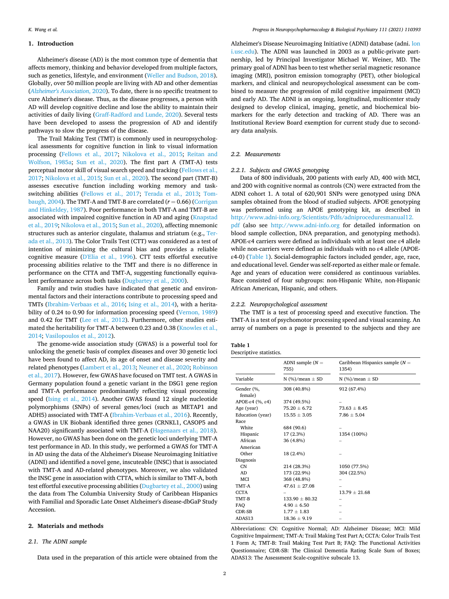## <span id="page-1-0"></span>**1. Introduction**

Alzheimer's disease (AD) is the most common type of dementia that affects memory, thinking and behavior developed from multiple factors, such as genetics, lifestyle, and environment [\(Weller and Budson, 2018](#page-8-0)). Globally, over 50 million people are living with AD and other dementias (*[Alzheimer's Association](#page-7-0)*, 2020). To date, there is no specific treatment to cure Alzheimer's disease. Thus, as the disease progresses, a person with AD will develop cognitive decline and lose the ability to maintain their activities of daily living [\(Graff-Radford and Lunde, 2020](#page-7-0)). Several tests have been developed to assess the progression of AD and identify pathways to slow the progress of the disease.

The Trail Making Test (TMT) is commonly used in neuropsychological assessments for cognitive function in link to visual information processing ([Fellows et al., 2017](#page-7-0); [Nikolova et al., 2015](#page-8-0); [Reitan and](#page-8-0)  [Wolfson, 1985a](#page-8-0); [Sun et al., 2020\)](#page-8-0). The first part A (TMT-A) tests perceptual motor skill of visual search speed and tracking [\(Fellows et al.,](#page-7-0)  [2017;](#page-7-0) [Nikolova et al., 2015; Sun et al., 2020](#page-8-0)). The second part (TMT-B) assesses executive function including working memory and taskswitching abilities ([Fellows et al., 2017](#page-7-0); [Terada et al., 2013;](#page-8-0) [Tom](#page-8-0)[baugh, 2004](#page-8-0)). The TMT-A and TMT-B are correlated  $(r = 0.66)$  (Corrigan [and Hinkeldey, 1987\)](#page-7-0). Poor performance in both TMT-A and TMT-B are associated with impaired cognitive function in AD and aging [\(Knapstad](#page-8-0)  [et al., 2019; Nikolova et al., 2015; Sun et al., 2020](#page-8-0)), affecting mnemonic structures such as anterior cingulate, thalamus and striatum (e.g., [Ter](#page-8-0)[ada et al., 2013\)](#page-8-0). The Color Trails Test (CTT) was considered as a test of intention of minimizing the cultural bias and provides a reliable cognitive measure ([D'Elia et al., 1996\)](#page-7-0). CTT tests effortful executive processing abilities relative to the TMT and there is no difference in performance on the CTTA and TMT-A, suggesting functionally equivalent performance across both tasks ([Dugbartey et al., 2000\)](#page-7-0).

Family and twin studies have indicated that genetic and environmental factors and their interactions contribute to processing speed and TMTs [\(Ibrahim-Verbaas et al., 2016;](#page-8-0) [Ising et al., 2014\)](#page-8-0), with a heritability of 0.24 to 0.90 for information processing speed [\(Vernon, 1989\)](#page-8-0) and 0.42 for TMT ([Lee et al., 2012](#page-8-0)). Furthermore, other studies estimated the heritability for TMT-A between 0.23 and 0.38 (Knowles et al., [2014; Vasilopoulos et al., 2012\)](#page-8-0).

The genome-wide association study (GWAS) is a powerful tool for unlocking the genetic basis of complex diseases and over 30 genetic loci have been found to affect AD, its age of onset and disease severity and related phenotypes [\(Lambert et al., 2013](#page-8-0); [Neuner et al., 2020; Robinson](#page-8-0)  [et al., 2017\)](#page-8-0). However, few GWAS have focused on TMT test. A GWAS in Germany population found a genetic variant in the DSG1 gene region and TMT-A performance predominantly reflecting visual processing speed ([Ising et al., 2014\)](#page-8-0). Another GWAS found 12 single nucleotide polymorphisms (SNPs) of several genes/loci (such as METAP1 and ADH5) associated with TMT-A [\(Ibrahim-Verbaas et al., 2016\)](#page-8-0). Recently, a GWAS in UK Biobank identified three genes (CRNKL1, CASOP5 and NAA20) significantly associated with TMT-A ([Hagenaars et al., 2018](#page-7-0)). However, no GWAS has been done on the genetic loci underlying TMT-A test performance in AD. In this study, we performed a GWAS for TMT-A in AD using the data of the Alzheimer's Disease Neuroimaging Initiative (ADNI) and identified a novel gene, inscuteable (INSC) that is associated with TMT-A and AD-related phenotypes. Moreover, we also validated the INSC gene in association with CTTA, which is similar to TMT-A, both test effortful executive processing abilities [\(Dugbartey et al., 2000](#page-7-0)) using the data from The Columbia University Study of Caribbean Hispanics with Familial and Sporadic Late Onset Alzheimer's disease-dbGaP Study Accession.

# **2. Materials and methods**

# *2.1. The ADNI sample*

Data used in the preparation of this article were obtained from the

Alzheimer's Disease Neuroimaging Initiative (ADNI) database (adni. [lon](http://loni.usc.edu)  [i.usc.edu\)](http://loni.usc.edu). The ADNI was launched in 2003 as a public-private partnership, led by Principal Investigator Michael W. Weiner, MD. The primary goal of ADNI has been to test whether serial magnetic resonance imaging (MRI), positron emission tomography (PET), other biological markers, and clinical and neuropsychological assessment can be combined to measure the progression of mild cognitive impairment (MCI) and early AD. The ADNI is an ongoing, longitudinal, multicenter study designed to develop clinical, imaging, genetic, and biochemical biomarkers for the early detection and tracking of AD. There was an Institutional Review Board exemption for current study due to secondary data analysis.

#### *2.2. Measurements*

## *2.2.1. Subjects and GWAS genotyping*

Data of 800 individuals, 200 patients with early AD, 400 with MCI, and 200 with cognitive normal as controls (CN) were extracted from the ADNI cohort 1. A total of 620,901 SNPs were genotyped using DNA samples obtained from the blood of studied subjects. APOE genotyping was performed using an APOE genotyping kit, as described in [http://www.adni-info.org/Scientists/Pdfs/adniproceduresmanual12.](http://www.adni-info.org/Scientists/Pdfs/adniproceduresmanual12.pdf) [pdf](http://www.adni-info.org/Scientists/Pdfs/adniproceduresmanual12.pdf) (also see <http://www.adni-info.org>for detailed information on blood sample collection, DNA preparation, and genotyping methods). APOE-ε4 carriers were defined as individuals with at least one ε4 allele while non-carriers were defined as individuals with no ε4 allele (APOEε4-0) (Table 1). Social-demographic factors included gender, age, race, and educational level. Gender was self-reported as either male or female. Age and years of education were considered as continuous variables. Race consisted of four subgroups: non-Hispanic White, non-Hispanic African American, Hispanic, and others.

#### *2.2.2. Neuropsychological assessment*

The TMT is a test of processing speed and executive function. The TMT-A is a test of psychomotor processing speed and visual scanning. An array of numbers on a page is presented to the subjects and they are

# **Table 1**

| Descriptive statistics. |                            |                                            |  |  |  |  |  |
|-------------------------|----------------------------|--------------------------------------------|--|--|--|--|--|
|                         | ADNI sample $(N =$<br>755) | Caribbean Hispanics sample $(N =$<br>1354) |  |  |  |  |  |
| Variable                | N $(\%)/$ mean $\pm$ SD    | N $(\%)/$ mean $\pm$ SD                    |  |  |  |  |  |
| Gender (%,<br>female)   | 308 (40.8%)                | 912 (67.4%)                                |  |  |  |  |  |
| APOE-ε4 $(%$            | 374 (49.5%)                |                                            |  |  |  |  |  |
| Age (year)              | $75.20 \pm 6.72$           | $73.63 + 8.45$                             |  |  |  |  |  |
| Education (year)        | $15.55 \pm 3.05$           | $7.86 \pm 5.04$                            |  |  |  |  |  |
| Race                    |                            |                                            |  |  |  |  |  |
| White                   | 684 (90.6)                 |                                            |  |  |  |  |  |
| Hispanic                | 17 (2.3%)                  | 1354 (100%)                                |  |  |  |  |  |
| African                 | 36 (4.8%)                  |                                            |  |  |  |  |  |
| American                |                            |                                            |  |  |  |  |  |
| Other                   | 18 (2.4%)                  |                                            |  |  |  |  |  |
| Diagnosis               |                            |                                            |  |  |  |  |  |
| CN                      | 214 (28.3%)                | 1050 (77.5%)                               |  |  |  |  |  |
| AD.                     | 173 (22.9%)                | 304 (22.5%)                                |  |  |  |  |  |
| <b>MCI</b>              | 368 (48.8%)                |                                            |  |  |  |  |  |
| TMT-A                   | $47.61 \pm 27.08$          |                                            |  |  |  |  |  |
| <b>CCTA</b>             |                            | $13.79 + 21.68$                            |  |  |  |  |  |
| TMT-B                   | $133.90 \pm 80.32$         |                                            |  |  |  |  |  |
| FAO                     | $4.90 \pm 6.50$            |                                            |  |  |  |  |  |
| CDR-SB                  | $1.77 \pm 1.83$            |                                            |  |  |  |  |  |
| ADAS13                  | $18.36 \pm 9.19$           |                                            |  |  |  |  |  |

Abbreviations: CN: Cognitive Normal; AD: Alzheimer Disease; MCI: Mild Cognitive Impairment; TMT-A: Trail Making Test Part A; CCTA: Color Trails Test 1 Form A; TMT-B: Trail Making Test Part B; FAQ: The Functional Activities Questionnaire; CDR-SB: The Clinical Dementia Rating Scale Sum of Boxes; ADAS13: The Assessment Scale-cognitive subscale 13.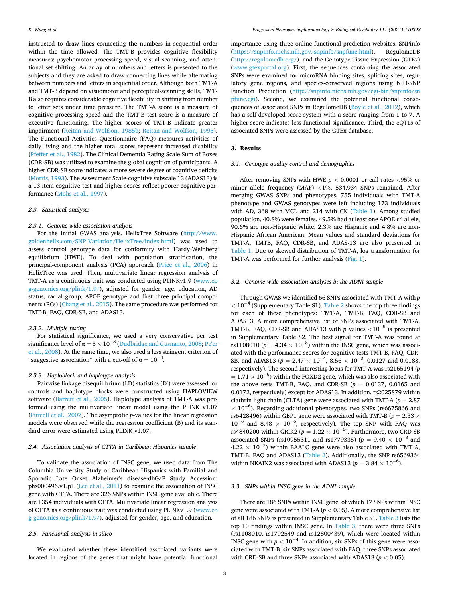instructed to draw lines connecting the numbers in sequential order within the time allowed. The TMT-B provides cognitive flexibility measures: psychomotor processing speed, visual scanning, and attentional set shifting. An array of numbers and letters is presented to the subjects and they are asked to draw connecting lines while alternating between numbers and letters in sequential order. Although both TMT-A and TMT-B depend on visuomotor and perceptual-scanning skills, TMT-B also requires considerable cognitive flexibility in shifting from number to letter sets under time pressure. The TMT-A score is a measure of cognitive processing speed and the TMT-B test score is a measure of executive functioning. The higher scores of TMT-B indicate greater impairment ([Reitan and Wolfson, 1985b;](#page-8-0) [Reitan and Wolfson, 1995](#page-8-0)). The Functional Activities Questionnaire (FAQ) measures activities of daily living and the higher total scores represent increased disability ([Pfeffer et al., 1982\)](#page-8-0). The Clinical Dementia Rating Scale Sum of Boxes (CDR-SB) was utilized to examine the global cognition of participants. A higher CDR-SB score indicates a more severe degree of cognitive deficits ([Morris, 1993\)](#page-8-0). The Assessment Scale-cognitive subscale 13 (ADAS13) is a 13-item cognitive test and higher scores reflect poorer cognitive performance [\(Mohs et al., 1997\)](#page-8-0).

## *2.3. Statistical analyses*

# *2.3.1. Genome-wide association analysis*

For the initial GWAS analysis, HelixTree Software [\(http://www.](http://www.goldenhelix.com/SNP_Variation/HelixTree/index.html)  [goldenhelix.com/SNP\\_Variation/HelixTree/index.html](http://www.goldenhelix.com/SNP_Variation/HelixTree/index.html)) was used to assess control genotype data for conformity with Hardy-Weinberg equilibrium (HWE). To deal with population stratification, the principal-component analysis (PCA) approach ([Price et al., 2006\)](#page-8-0) in HelixTree was used. Then, multivariate linear regression analysis of TMT-A as a continuous trait was conducted using PLINKv1.9 ([www.co](http://www.cog-genomics.org/plink/1.9/)  [g-genomics.org/plink/1.9/](http://www.cog-genomics.org/plink/1.9/)), adjusted for gender, age, education, AD status, racial group, APOE genotype and first three principal components (PCs) ([Chang et al., 2015](#page-7-0)). The same procedure was performed for TMT-B, FAQ, CDR-SB, and ADAS13.

#### *2.3.2. Multiple testing*

For statistical significance, we used a very conservative per test significance level of  $\alpha = 5 \times 10^{-8}$  ([Dudbridge and Gusnanto, 2008;](#page-7-0) Pe'er [et al., 2008](#page-8-0)). At the same time, we also used a less stringent criterion of "suggestive association" with a cut-off of  $\alpha = 10^{-4}$ .

# *2.3.3. Haploblock and haplotype analysis*

Pairwise linkage disequilibrium (LD) statistics (D′ ) were assessed for controls and haplotype blocks were constructed using HAPLOVIEW software ([Barrett et al., 2005](#page-7-0)). Haplotype analysis of TMT-A was performed using the multivariate linear model using the PLINK v1.07 ([Purcell et al., 2007](#page-8-0)). The asymptotic *p*-values for the linear regression models were observed while the regression coefficient (B) and its standard error were estimated using PLINK v1.07.

# *2.4. Association analysis of CTTA in Caribbean Hispanics sample*

To validate the association of INSC gene, we used data from The Columbia University Study of Caribbean Hispanics with Familial and Sporadic Late Onset Alzheimer's disease-dbGaP Study Accession: phs000496.v1.p1 [\(Lee et al., 2011](#page-8-0)) to examine the association of INSC gene with CTTA. There are 326 SNPs within INSC gene available. There are 1354 individuals with CTTA. Multivariate linear regression analysis of CTTA as a continuous trait was conducted using PLINKv1.9 ([www.co](http://www.cog-genomics.org/plink/1.9/)  [g-genomics.org/plink/1.9/](http://www.cog-genomics.org/plink/1.9/)), adjusted for gender, age, and education.

# *2.5. Functional analysis in silico*

We evaluated whether these identified associated variants were located in regions of the genes that might have potential functional

importance using three online functional prediction websites: SNPinfo ([https://snpinfo.niehs.nih.gov/snpinfo/snpfunc.html\)](https://snpinfo.niehs.nih.gov/snpinfo/snpfunc.html), RegulomeDB ([http://regulomedb.org/\)](http://regulomedb.org/), and the Genotype-Tissue Expression (GTEx) ([www.gtexportal.org](http://www.gtexportal.org)). First, the sequences containing the associated SNPs were examined for microRNA binding sites, splicing sites, regulatory gene regions, and species-conserved regions using NIH-SNP Function Prediction ([http://snpinfo.niehs.nih.gov/cgi-bin/snpinfo/sn](http://snpinfo.niehs.nih.gov/cgi-bin/snpinfo/snpfunc.cgi)  [pfunc.cgi\)](http://snpinfo.niehs.nih.gov/cgi-bin/snpinfo/snpfunc.cgi). Second, we examined the potential functional conse-quences of associated SNPs in RegulomeDB ([Boyle et al., 2012](#page-7-0)), which has a self-developed score system with a score ranging from 1 to 7. A higher score indicates less functional significance. Third, the eQTLs of associated SNPs were assessed by the GTEx database.

# **3. Results**

## *3.1. Genotype quality control and demographics*

After removing SNPs with HWE *p <* 0.0001 or call rates *<*95% or minor allele frequency (MAF) *<*1%, 534,934 SNPs remained. After merging GWAS SNPs and phenotypes, 755 individuals with TMT-A phenotype and GWAS genotypes were left including 173 individuals with AD, 368 with MCI, and 214 with CN ([Table 1\)](#page-1-0). Among studied population, 40.8% were females, 49.5% had at least one APOE-ε4 allele, 90.6% are non-Hispanic White, 2.3% are Hispanic and 4.8% are non-Hispanic African American. Mean values and standard deviations for TMT-A, TMTB, FAQ, CDR-SB, and ADAS-13 are also presented in [Table 1.](#page-1-0) Due to skewed distribution of TMT-A, log transformation for TMT-A was performed for further analysis [\(Fig. 1](#page-3-0)).

# *3.2. Genome-wide association analyses in the ADNI sample*

Through GWAS we identified 66 SNPs associated with TMT-A with *p*   $< 10^{-4}$  (Supplementary Table S1). [Table 2](#page-3-0) shows the top three findings for each of these phenotypes: TMT-A, TMT-B, FAQ, CDR-SB and ADAS13. A more comprehensive list of SNPs associated with TMT-A, TMT-B, FAQ, CDR-SB and ADAS13 with *p* values  $\langle 10^{-5}$  is presented in Supplementary Table S2. The best signal for TMT-A was found at rs1108010 ( $p = 4.34 \times 10^{-8}$ ) within the INSC gene, which was associated with the performance scores for cognitive tests TMT-B, FAQ, CDR-SB, and ADAS13 ( $p = 2.47 \times 10^{-4}$ , 8.56  $\times 10^{-3}$ , 0.0127 and 0.0188, respectively). The second interesting locus for TMT-A was rs2165194 (*p*   $= 1.71 \times 10^{-6}$  ) within the FOXD2 gene, which was also associated with the above tests TMT-B, FAQ, and CDR-SB  $(p = 0.0137, 0.0165,$  and 0.0172, respectively) except for ADAS13. In addition, rs2025879 within clathrin light chain (CLTA) gene were associated with TMT-A (*p* = 2.87  $\times$  10<sup>-6</sup>). Regarding additional phenotypes, two SNPs (rs6675866 and rs6428496) within GBP1 gene were associated with TMT-B ( $p = 2.33 \times$  $10^{-6}$  and 8.48 ×  $10^{-6}$ , respectively). The top SNP with FAQ was rs4840200 within GRIK2 ( $p = 1.22 \times 10^{-6}$ ). Furthermore, two CRD-SB associated SNPs (rs10955311 and rs1779335) (*p* = 9.40 × 10<sup>-8</sup> and  $4.22 \times 10^{-7}$ ) within BAALC gene were also associated with TMT-A, TMT-B, FAQ and ADAS13 [\(Table 2\)](#page-3-0). Additionally, the SNP rs6569364 within NKAIN2 was associated with ADAS13 ( $p = 3.84 \times 10^{-6}$ ).

#### *3.3. SNPs within INSC gene in the ADNI sample*

There are 186 SNPs within INSC gene, of which 17 SNPs within INSC gene were associated with TMT-A (*p <* 0.05). A more comprehensive list of all 186 SNPs is presented in Supplementary Table S1. [Table 3](#page-4-0) lists the top 10 findings within INSC gene. In [Table 3](#page-4-0), there were three SNPs (rs1108010, rs1792549 and rs12800439), which were located within INSC gene with  $p < 10^{-4}$ . In addition, six SNPs of this gene were associated with TMT-B, six SNPs associated with FAQ, three SNPs associated with CRD-SB and three SNPs associated with ADAS13 ( $p < 0.05$ ).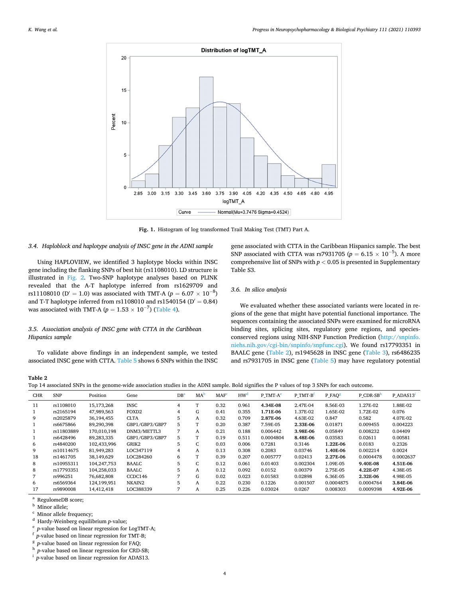<span id="page-3-0"></span>

**Fig. 1.** Histogram of log transformed Trail Making Test (TMT) Part A.

# *3.4. Haploblock and haplotype analysis of INSC gene in the ADNI sample*

Using HAPLOVIEW, we identified 3 haplotype blocks within INSC gene including the flanking SNPs of best hit (rs1108010). LD structure is illustrated in [Fig. 2](#page-4-0). Two-SNP haplotype analyses based on PLINK revealed that the A-T haplotype inferred from rs1629709 and rs11108010 (D' = 1.0) was associated with TMT-A ( $p = 6.07 \times 10^{-8}$ ) and T-T haplotype inferred from rs1108010 and rs1540154 ( $D' = 0.84$ ) was associated with TMT-A ( $p = 1.53 \times 10^{-7}$ ) ([Table 4](#page-5-0)).

# *3.5. Association analysis of INSC gene with CTTA in the Caribbean Hispanics sample*

To validate above findings in an independent sample, we tested associated INSC gene with CTTA. [Table 5](#page-5-0) shows 6 SNPs within the INSC gene associated with CTTA in the Caribbean Hispanics sample. The best SNP associated with CTTA was rs7931705 ( $p = 6.15 \times 10^{-5}$ ). A more comprehensive list of SNPs with *p <* 0.05 is presented in Supplementary Table S3.

# *3.6. In silico analysis*

We evaluated whether these associated variants were located in regions of the gene that might have potential functional importance. The sequences containing the associated SNPs were examined for microRNA binding sites, splicing sites, regulatory gene regions, and speciesconserved regions using NIH-SNP Function Prediction ([http://snpinfo.](http://snpinfo.niehs.nih.gov/cgi-bin/snpinfo/snpfunc.cgi)  [niehs.nih.gov/cgi-bin/snpinfo/snpfunc.cgi\)](http://snpinfo.niehs.nih.gov/cgi-bin/snpinfo/snpfunc.cgi). We found rs17793351 in BAALC gene (Table 2), rs1945628 in INSC gene ([Table 3\)](#page-4-0), rs6486235 and rs7931705 in INSC gene [\(Table 5](#page-5-0)) may have regulatory potential

**Table 2** 

Top 14 associated SNPs in the genome-wide association studies in the ADNI sample. Bold signifies the P values of top 3 SNPs for each outcome.

| <b>CHR</b> | <b>SNP</b> | Position    | Gene              | $DB^a$ | MA       | MAF  | HW <sup>a</sup> | P TMT-A <sup>e</sup> | P TMT-B <sup>t</sup> | P FAO <sup>8</sup> | $P$ CDR-SB <sup>h</sup> | P ADAS13 <sup>1</sup> |
|------------|------------|-------------|-------------------|--------|----------|------|-----------------|----------------------|----------------------|--------------------|-------------------------|-----------------------|
| 11         | rs1108010  | 15,173,268  | <b>INSC</b>       | 4      | T        | 0.32 | 0.961           | 4.34E-08             | 2.47E-04             | 8.56E-03           | 1.27E-02                | 1.88E-02              |
|            | rs2165194  | 47,989,563  | FOXD <sub>2</sub> | 4      | G        | 0.41 | 0.355           | 1.71E-06             | 1.37E-02             | 1.65E-02           | 1.72E-02                | 0.076                 |
| 9          | rs2025879  | 36,194,455  | <b>CLTA</b>       | 5      | A        | 0.32 | 0.709           | 2.87E-06             | 4.63E-02             | 0.847              | 0.582                   | 4.07E-02              |
|            | rs6675866  | 89.290.398  | GBP1/GBP3/GBP7    | 5      | m        | 0.20 | 0.387           | 7.59E-05             | 2.33E-06             | 0.01871            | 0.009455                | 0.004223              |
|            | rs11803889 | 170.010.198 | DNM3/METTL3       | 7      | A        | 0.21 | 0.188           | 0.006442             | 3.98E-06             | 0.05849            | 0.008232                | 0.04409               |
|            | rs6428496  | 89,283,335  | GBP1/GBP3/GBP7    | 5      | <b>T</b> | 0.19 | 0.511           | 0.0004804            | 8.48E-06             | 0.03583            | 0.02611                 | 0.00581               |
| 6          | rs4840200  | 102,433,996 | GRIK2             | 5      | C        | 0.03 | 0.006           | 0.7281               | 0.3146               | 1.22E-06           | 0.0183                  | 0.2326                |
| 9          | rs10114675 | 81,949,283  | LOC347119         | 4      | A        | 0.13 | 0.308           | 0.2083               | 0.03746              | 1.40E-06           | 0.002214                | 0.0024                |
| 18         | rs1461705  | 38,149,629  | LOC284260         | 6      | m        | 0.39 | 0.207           | 0.005777             | 0.02413              | 2.27E-06           | 0.0004478               | 0.0002637             |
| 8          | rs10955311 | 104,247,753 | BAALC             | 5      | C        | 0.12 | 0.061           | 0.01403              | 0.002304             | 1.09E-05           | 9.40E-08                | 4.51E-06              |
| 8          | rs17793351 | 104,258,033 | <b>BAALC</b>      | 5      | A        | 0.12 | 0.092           | 0.0152               | 0.00379              | 2.75E-05           | 4.22E-07                | 4.38E-05              |
|            | rs996251   | 76,682,808  | CCDC146           | 7      | G        | 0.02 | 0.023           | 0.01583              | 0.02898              | 6.36E-05           | 2.32E-06                | 4.98E-05              |
| 6          | rs6569364  | 124,199,951 | NKAIN2            | 5      | A        | 0.22 | 0.230           | 0.1226               | 0.001507             | 0.0004875          | 0.0004764               | 3.84E-06              |
| 17         | rs9890008  | 14.412.418  | LOC388339         | ∍      | A        | 0.25 | 0.226           | 0.03024              | 0.0267               | 0.008303           | 0.0009398               | 4.92E-06              |
|            |            |             |                   |        |          |      |                 |                      |                      |                    |                         |                       |

a Regulome<br>DB score; <br> b Minor allele; <br> c Minor allele frequency; <br> d Hardy-Weinberg equilibrium *p*-value; <br> e *p*-value based on linear regression for TMT-B; <br>  $\binom{p}{r}$ -value based on linear regression for FAQ; <br> h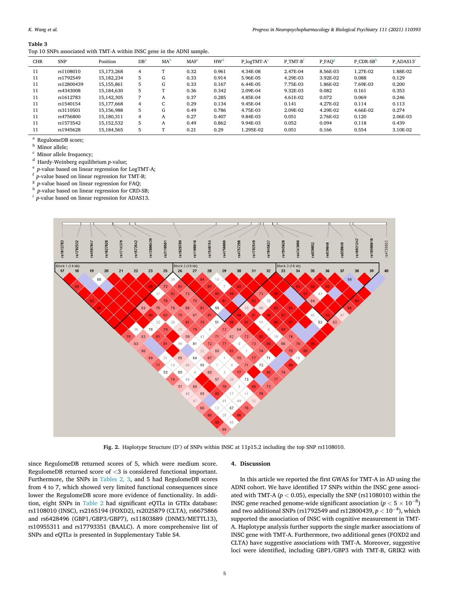<span id="page-4-0"></span>Top 10 SNPs associated with TMT-A within INSC gene in the ADNI sample.

| <b>CHR</b> | <b>SNP</b> | Position   | DB' | MA <sup>2</sup> | MAF <sup>c</sup> | HW <sup>a</sup> | P $logTMT-Ae$ | P TMT-B  | P FAO <sup>8</sup> | P CDR-SB <sup>n</sup> | P ADAS13 |
|------------|------------|------------|-----|-----------------|------------------|-----------------|---------------|----------|--------------------|-----------------------|----------|
| 11         | rs1108010  | 15,173,268 | 4   | $\mathbf{r}$    | 0.32             | 0.961           | 4.34E-08      | 2.47F-04 | 8.56E-03           | 1.27E-02              | 1.88E-02 |
| 11         | rs1792549  | 15.182.234 | 5   | G               | 0.33             | 0.914           | 5.96E-05      | 4.29F-03 | 3.92F-02           | 0.088                 | 0.129    |
| 11         | rs12800439 | 15,155,861 | 5   | G               | 0.33             | 0.167           | 6.44E-05      | 7.75E-03 | 1.86E-02           | 7.69E-03              | 0.200    |
| 11         | rs4343008  | 15.184.630 | 5   | œ               | 0.36             | 0.342           | 2.09E-04      | 9.32E-03 | 0.082              | 0.161                 | 0.353    |
| 11         | rs1612783  | 15.142.305 |     | A               | 0.37             | 0.285           | 4.85E-04      | 4.61F-02 | 0.072              | 0.069                 | 0.246    |
| 11         | rs1540154  | 15,177,668 | 4   | $\sqrt{2}$      | 0.29             | 0.134           | 9.45E-04      | 0.141    | 4.27F-02           | 0.114                 | 0.113    |
| 11         | rs3110501  | 15.156.988 | 5   | G               | 0.49             | 0.786           | 4.75E-03      | 2.09E-02 | 4.29F-02           | 4.66E-02              | 0.274    |
| 11         | rs4756800  | 15.180.311 | 4   | A               | 0.27             | 0.407           | 9.84E-03      | 0.051    | 2.76F-02           | 0.120                 | 2.06E-03 |
| 11         | rs1573542  | 15.152.532 | 5   | A               | 0.49             | 0.862           | 9.94E-03      | 0.052    | 0.094              | 0.118                 | 0.439    |
| 11         | rs1945628  | 15,184,565 | 5   | $\mathbf{r}$    | 0.21             | 0.29            | 1.295E-02     | 0.051    | 0.166              | 0.554                 | 3.10E-02 |

 $^{\rm a}$  Regulome<br>DB score;  $^{\rm b}$  Minor allele;  $^{\rm c}$  Minor allele frequency;<br> $^{\rm d}$  Hardy-Weinberg equilibrium  $p\text{-value}$ ;<br> $^{\rm e}$   $p\text{-value based on linear regression for LogTMT-A;$   $^{\rm f}$ <br> $p\text{-value based on linear regression for FAQ;$   $^{\rm a}$   $p\text{-value based on linear regression for CRD-SB;$ <br> $^{\rm h}$   $p\text{-value based on linear regression for$ 



**Fig. 2.** Haplotype Structure (D′ ) of SNPs within INSC at 11p15.2 including the top SNP rs1108010.

since RegulomeDB returned scores of 5, which were medium score. RegulomeDB returned score of *<*3 is considered functional important. Furthermore, the SNPs in [Tables 2, 3,](#page-3-0) and 5 had RegulomeDB scores from 4 to 7, which showed very limited functional consequences since lower the RegulomeDB score more evidence of functionality. In addition, eight SNPs in [Table 2](#page-3-0) had significant eQTLs in GTEx database: rs1108010 (INSC), rs2165194 (FOXD2), rs2025879 (CLTA), rs6675866 and rs6428496 (GBP1/GBP3/GBP7), rs11803889 (DNM3/METTL13), rs10955311 and rs17793351 (BAALC). A more comprehensive list of SNPs and eQTLs is presented in Supplementary Table S4.

# **4. Discussion**

In this article we reported the first GWAS for TMT-A in AD using the ADNI cohort. We have identified 17 SNPs within the INSC gene associated with TMT-A ( $p < 0.05$ ), especially the SNP (rs1108010) within the INSC gene reached genome-wide significant association  $(p < 5 \times 10^{-8})$ and two additional SNPs (rs1792549 and rs12800439,  $p < 10^{-4}$ ), which supported the association of INSC with cognitive measurement in TMT-A. Haplotype analysis further supports the single marker associations of INSC gene with TMT-A. Furthermore, two additional genes (FOXD2 and CLTA) have suggestive associations with TMT-A. Moreover, suggestive loci were identified, including GBP1/GBP3 with TMT-B, GRIK2 with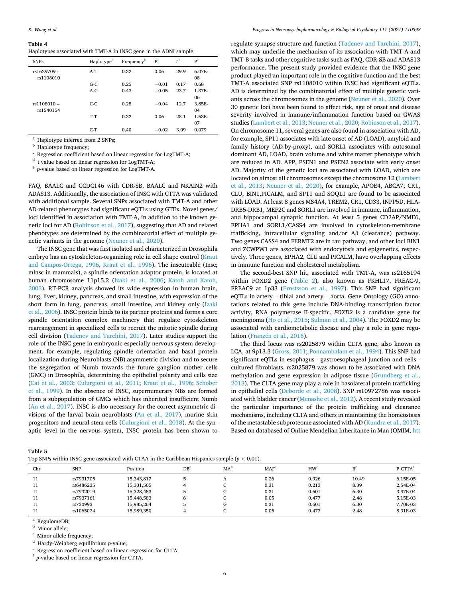#### <span id="page-5-0"></span>**Table 4**

| <b>SNPs</b>              | Haplotype <sup>a</sup> | Frequency <sup>b</sup> | B <sup>c</sup> | ŕ    | P <sup>e</sup> |
|--------------------------|------------------------|------------------------|----------------|------|----------------|
| rs1629709 -<br>rs1108010 | $A-T$                  | 0.32                   | 0.06           | 29.9 | 6.07E-<br>08   |
|                          | $G-C$                  | 0.25                   | $-0.01$        | 0.17 | 0.68           |
|                          | $A-C$                  | 0.43                   | $-0.05$        | 23.7 | 1.37E-         |
|                          |                        |                        |                |      | 06             |
| rs1108010 -              | $C-C$                  | 0.28                   | $-0.04$        | 12.7 | 3.85E-         |
| rs1540154                |                        |                        |                |      | 04             |
|                          | $T-T$                  | 0.32                   | 0.06           | 28.1 | 1.53E-         |
|                          |                        |                        |                |      | 07             |
|                          | $C-T$                  | 0.40                   | $-0.02$        | 3.09 | 0.079          |

 $^{\rm a}$  Haplotype inferred from 2 SNPs;<br> $^{\rm b}$  Haplotype frequency;<br> $^{\rm c}$  Regression coefficient based on linear regression for LogTMT-A;<br> $^{\rm d}$ t value based on linear regression for LogTMT-A;<br> $^{\rm e}$ p-value based on

FAQ, BAALC and CCDC146 with CDR-SB, BAALC and NKAIN2 with ADAS13. Additionally, the association of INSC with CTTA was validated with additional sample. Several SNPs associated with TMT-A and other AD-related phenotypes had significant eQTLs using GTEx. Novel genes/ loci identified in association with TMT-A, in addition to the known genetic loci for AD ([Robinson et al., 2017\)](#page-8-0), suggesting that AD and related phenotypes are determined by the combinatorial effect of multiple genetic variants in the genome ([Neuner et al., 2020](#page-8-0)).

The INSC gene that was first isolated and characterized in Drosophila embryo has an cytoskeleton-organizing role in cell shape control [\(Kraut](#page-8-0)  [and Campos-Ortega, 1996](#page-8-0), [Kraut et al., 1996\)](#page-8-0). The inscuteable (Insc; mlnsc in mammals), a spindle orientation adaptor protein, is located at human chromosome 11p15.2 ([Izaki et al., 2006;](#page-8-0) [Katoh and Katoh,](#page-8-0)  [2003\)](#page-8-0). RT-PCR analysis showed its wide expression in human brain, lung, liver, kidney, pancreas, and small intestine, with expression of the short form in lung, pancreas, small intestine, and kidney only (Izaki [et al., 2006](#page-8-0)). INSC protein binds to its partner proteins and forms a core spindle orientation complex machinery that regulate cytoskeleton rearrangement in specialized cells to recruit the mitotic spindle during cell division [\(Tadenev and Tarchini, 2017](#page-8-0)). Later studies support the role of the INSC gene in embryonic especially nervous system development, for example, regulating spindle orientation and basal protein localization during Neuroblasts (NB) asymmetric division and to secure the segregation of Numb towards the future ganglion mother cells (GMC) in Drosophila, determining the epithelial polarity and cells size ([Cai et al., 2003](#page-7-0); [Culurgioni et al., 2011](#page-7-0); [Kraut et al., 1996](#page-8-0); [Schober](#page-8-0)  [et al., 1999](#page-8-0)). In the absence of INSC, supernumerary NBs are formed from a subpopulation of GMCs which has inherited insufficient Numb ([An et al., 2017\)](#page-7-0). INSC is also necessary for the correct asymmetric divisions of the larval brain neuroblasts ([An et al., 2017](#page-7-0)), murine skin progenitors and neural stem cells [\(Culurgioni et al., 2018\)](#page-7-0). At the synaptic level in the nervous system, INSC protein has been shown to

regulate synapse structure and function [\(Tadenev and Tarchini, 2017](#page-8-0)), which may underlie the mechanism of its association with TMT-A and TMT-B tasks and other cognitive tasks such as FAQ, CDR-SB and ADAS13 performance. The present study provided evidence that the INSC gene product played an important role in the cognitive function and the best TMT-A associated SNP rs1108010 within INSC had significant eQTLs. AD is determined by the combinatorial effect of multiple genetic variants across the chromosomes in the genome ([Neuner et al., 2020](#page-8-0)). Over 30 genetic loci have been found to affect risk, age of onset and disease severity involved in immune/inflammation function based on GWAS studies ([Lambert et al., 2013](#page-8-0); [Neuner et al., 2020](#page-8-0); [Robinson et al., 2017](#page-8-0)). On chromosome 11, several genes are also found in association with AD, for example, SP11 associates with late onset of AD (LOAD), amyloid and family history (AD-by-proxy), and SORL1 associates with autosomal dominant AD, LOAD, brain volume and white matter phenotype which are reduced in AD. APP, PSEN1 and PSEN2 associate with early onset AD. Majority of the genetic loci are associated with LOAD, which are located on almost all chromosomes except the chromosome 12 [\(Lambert](#page-8-0)  [et al., 2013](#page-8-0); [Neuner et al., 2020\)](#page-8-0), for example, APOE4, ABCA7, CR1, CLU, BIN1,PICALM, and SP11 and SOQL1 are found to be associated with LOAD. At least 8 genes MS4A4, TREM2, CR1, CD33, INPP5D, HLA-DRB5-DRB1, MEF2C and SORL1 are involved in immune, inflammation, and hippocampal synaptic function. At least 5 genes CD2AP/NME6, EPHA1 and SORL1/CASS4 are involved in cytoskeleton-membrane trafficking, intracellular signaling and/or Aβ (clearance) pathway. Two genes CASS4 and FERMT2 are in tau pathway, and other loci BIN1 and ZCWPW1 are associated with endocytosis and epigenetics, respectively. Three genes, EPHA2, CLU and PICALM, have overlapping effects in immune function and cholesterol metabolism.

The second-best SNP hit, associated with TMT-A, was rs2165194 within FOXD2 gene [\(Table 2](#page-3-0)), also known as FKHL17, FREAC-9, FREAC9 at 1p33 ([Ernstsson et al., 1997\)](#page-7-0). This SNP had significant eQTLs in artery – tibial and artery – aorta. Gene Ontology (GO) annotations related to this gene include DNA-binding transcription factor activity, RNA polymerase II-specific. *FOXD2* is a candidate gene for meningioma ([Ho et al., 2015](#page-7-0); [Sulman et al., 2004](#page-8-0)). The FOXD2 may be associated with cardiometabolic disease and play a role in gene regulation (Franzén et al., 2016).

The third locus was rs2025879 within CLTA gene, also known as LCA, at 9p13.3 [\(Gross, 2011](#page-7-0); [Ponnambalam et al., 1994](#page-8-0)). This SNP had significant eQTLs in esophagus - gastroesophageal junction and cells cultured fibroblasts. rs2025879 was shown to be associated with DNA methylation and gene expression in adipose tissue ([Grundberg et al.,](#page-7-0)  [2013\)](#page-7-0). The CLTA gene may play a role in basolateral protein trafficking in epithelial cells ([Deborde et al., 2008](#page-7-0)). SNP rs10972786 was associated with bladder cancer [\(Menashe et al., 2012](#page-8-0)). A recent study revealed the particular importance of the protein trafficking and clearance mechanisms, including CLTA and others in maintaining the homeostasis of the metastable subproteome associated with AD [\(Kundra et al., 2017](#page-8-0)). Based on databased of Online Mendelian Inheritance in Man (OMIM, [htt](https://www.omim.org/) 

| ., |  |
|----|--|
|----|--|

Top SNPs within INSC gene associated with CTAA in the Caribbean Hispanics sample (*p <* 0.01).

| Chr | <b>SNP</b> | Position   | DB <sup>a</sup> | MA | <b>MAF</b> | HW <sup>®</sup> | $B^e$ | P CTTA   |
|-----|------------|------------|-----------------|----|------------|-----------------|-------|----------|
| 11  | rs7931705  | 15,343,817 |                 | n  | 0.26       | 0.926           | 10.49 | 6.15E-05 |
| 11  | rs6486235  | 15,331,505 |                 |    | 0.31       | 0.213           | 8.39  | 2.54E-04 |
| 11  | rs7932019  | 15.328.453 |                 |    | 0.31       | 0.601           | 6.30  | 3.97E-04 |
| 11  | rs7937161  | 15,448,583 | 6               |    | 0.05       | 0.477           | 2.48  | 5.15E-03 |
| 11  | rs730993   | 15.985.264 |                 |    | 0.31       | 0.601           | 6.30  | 7.70E-03 |
| 11  | rs1065024  | 15,989,350 |                 |    | 0.05       | 0.477           | 2.48  | 8.91E-03 |

 $\frac{a}{b}$  RegulomeDB;<br> $\frac{b}{b}$  Minor allele;

 $^{\rm c}$  Minor allele frequency; d<br>Hardy-Weinberg equilibrium *p*-value; e<br>Regression coefficient based on linear regression for CTTA; f<br> $p$ -value based on linear regression for CTTA.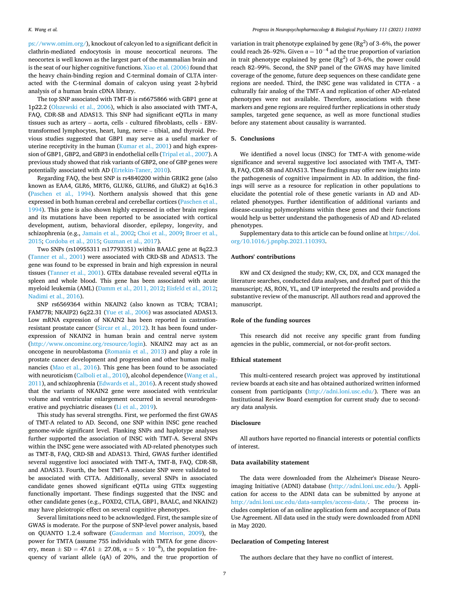[ps://www.omim.org/](https://www.omim.org/)), knockout of calcyon led to a significant deficit in clathrin-mediated endocytosis in mouse neocortical neurons. The neocortex is well known as the largest part of the mammalian brain and is the seat of our higher cognitive functions. [Xiao et al. \(2006\)](#page-8-0) found that the heavy chain-binding region and C-terminal domain of CLTA interacted with the C-terminal domain of calcyon using yeast 2-hybrid analysis of a human brain cDNA library.

The top SNP associated with TMT-B is rs6675866 with GBP1 gene at 1p22.2 [\(Olszewski et al., 2006\)](#page-8-0), which is also associated with TMT-A, FAQ, CDR-SB and ADAS13. This SNP had significant eQTLs in many tissues such as artery – aorta, cells - cultured fibroblasts, cells - EBVtransformed lymphocytes, heart, lung, nerve – tibial, and thyroid. Previous studies suggested that GBP1 may serve as a useful marker of uterine receptivity in the human [\(Kumar et al., 2001](#page-8-0)) and high expression of GBP1, GBP2, and GBP3 in endothelial cells ([Tripal et al., 2007](#page-8-0)). A previous study showed that risk variants of GBP2, one of GBP genes were potentially associated with AD [\(Ertekin-Taner, 2010](#page-7-0)).

Regarding FAQ, the best SNP is rs4840200 within GRIK2 gene (also known as EAA4, GLR6, MRT6, GLUK6, GLUR6, and GluK2) at 6q16.3 ([Paschen et al., 1994\)](#page-8-0). Northern analysis showed that this gene expressed in both human cerebral and cerebellar cortices [\(Paschen et al.,](#page-8-0)  [1994\)](#page-8-0). This gene is also shown highly expressed in other brain regions and its mutations have been reported to be associated with cortical development, autism, behavioral disorder, epilepsy, longevity, and schizophrenia (e.g., [Jamain et al., 2002](#page-8-0); [Choi et al., 2009](#page-7-0); [Broer et al.,](#page-7-0)  [2015; Cordoba et al., 2015; Guzman et al., 2017\)](#page-7-0).

Two SNPs (rs10955311 rs17793351) within BAALC gene at 8q22.3 ([Tanner et al., 2001](#page-8-0)) were associated with CRD-SB and ADAS13. The gene was found to be expressed in brain and high expression in neural tissues [\(Tanner et al., 2001](#page-8-0)). GTEx database revealed several eQTLs in spleen and whole blood. This gene has been associated with acute myeloid leukemia (AML) [\(Damm et al., 2011, 2012; Eisfeld et al., 2012](#page-7-0); [Nadimi et al., 2016](#page-8-0)).

SNP rs6569364 within NKAIN2 (also known as TCBA; TCBA1; FAM77B; NKAIP2) 6q22.31 ([Yue et al., 2006](#page-8-0)) was associated ADAS13. Low mRNA expression of NKAIN2 has been reported in castrationresistant prostate cancer ([Sircar et al., 2012](#page-8-0)). It has been found underexpression of NKAIN2 in human brain and central nerve system ([http://www.oncomine.org/resource/login\)](http://www.oncomine.org/resource/login). NKAIN2 may act as an oncogene in neuroblastoma [\(Romania et al., 2013\)](#page-8-0) and play a role in prostate cancer development and progression and other human malignancies ([Mao et al., 2016](#page-8-0)). This gene has been found to be associated with neuroticism [\(Calboli et al., 2010\)](#page-7-0), alcohol dependence (Wang et al., [2011\)](#page-8-0), and schizophrenia [\(Edwards et al., 2016\)](#page-7-0). A recent study showed that the variants of NKAIN2 gene were associated with ventricular volume and ventricular enlargement occurred in several neurodegenerative and psychiatric diseases [\(Li et al., 2019\)](#page-8-0).

This study has several strengths. First, we performed the first GWAS of TMT-A related to AD. Second, one SNP within INSC gene reached genome-wide significant level. Flanking SNPs and haplotype analyses further supported the association of INSC with TMT-A. Several SNPs within the INSC gene were associated with AD-related phenotypes such as TMT-B, FAQ, CRD-SB and ADAS13. Third, GWAS further identified several suggestive loci associated with TMT-A, TMT-B, FAQ, CDR-SB, and ADAS13. Fourth, the best TMT-A associate SNP were validated to be associated with CTTA. Additionally, several SNPs in associated candidate genes showed significant eQTLs using GTEx suggesting functionally important. These findings suggested that the INSC and other candidate genes (e.g., FOXD2, CTLA, GBP1, BAALC, and NKAIN2) may have pleiotropic effect on several cognitive phenotypes.

Several limitations need to be acknowledged. First, the sample size of GWAS is moderate. For the purpose of SNP-level power analysis, based on QUANTO 1.2.4 software [\(Gauderman and Morrison, 2009\)](#page-7-0), the power for TMTA (assume 755 individuals with TMTA for gene discovery, mean  $\pm$  SD = 47.61  $\pm$  27.08,  $\alpha$  = 5  $\times$  10<sup>-8</sup>), the population frequency of variant allele (qA) of 20%, and the true proportion of

variation in trait phenotype explained by gene  $(Rg^2)$  of 3–6%, the power could reach 26–92%. Given  $\alpha = 10^{-4}$  ad the true proportion of variation in trait phenotype explained by gene  $(Rg^2)$  of 3–6%, the power could reach 82–99%. Second, the SNP panel of the GWAS may have limited coverage of the genome, future deep sequences on these candidate gene regions are needed. Third, the INSC gene was validated in CTTA - a culturally fair analog of the TMT-A and replication of other AD-related phenotypes were not available. Therefore, associations with these markers and gene regions are required further replications in other study samples, targeted gene sequence, as well as more functional studies before any statement about causality is warranted.

# **5. Conclusions**

We identified a novel locus (INSC) for TMT-A with genome-wide significance and several suggestive loci associated with TMT-A, TMT-B, FAQ, CDR-SB and ADAS13. These findings may offer new insights into the pathogenesis of cognitive impairment in AD. In addition, the findings will serve as a resource for replication in other populations to elucidate the potential role of these genetic variants in AD and ADrelated phenotypes. Further identification of additional variants and disease-causing polymorphisms within these genes and their functions would help us better understand the pathogenesis of AD and AD-related phenotypes.

Supplementary data to this article can be found online at [https://doi.](https://doi.org/10.1016/j.pnpbp.2021.110393)  [org/10.1016/j.pnpbp.2021.110393](https://doi.org/10.1016/j.pnpbp.2021.110393).

#### **Authors' contributions**

KW and CX designed the study; KW, CX, DX, and CCX managed the literature searches, conducted data analyses, and drafted part of this the manuscript; AS, RON, YL, and UP interpreted the results and provided a substantive review of the manuscript. All authors read and approved the manuscript.

#### **Role of the funding sources**

This research did not receive any specific grant from funding agencies in the public, commercial, or not-for-profit sectors.

## **Ethical statement**

This multi-centered research project was approved by institutional review boards at each site and has obtained authorized written informed consent from participants [\(http://adni.loni.usc.edu/\)](http://adni.loni.usc.edu/). There was an Institutional Review Board exemption for current study due to secondary data analysis.

# **Disclosure**

All authors have reported no financial interests or potential conflicts of interest.

# **Data availability statement**

The data were downloaded from the Alzheimer's Disease Neuroimaging Initiative (ADNI) database [\(http://adni.loni.usc.edu/\)](http://adni.loni.usc.edu/). Application for access to the ADNI data can be submitted by anyone at <http://adni.loni.usc.edu/data-samples/access-data/>. The process includes completion of an online application form and acceptance of Data Use Agreement. All data used in the study were downloaded from ADNI in May 2020.

# **Declaration of Competing Interest**

The authors declare that they have no conflict of interest.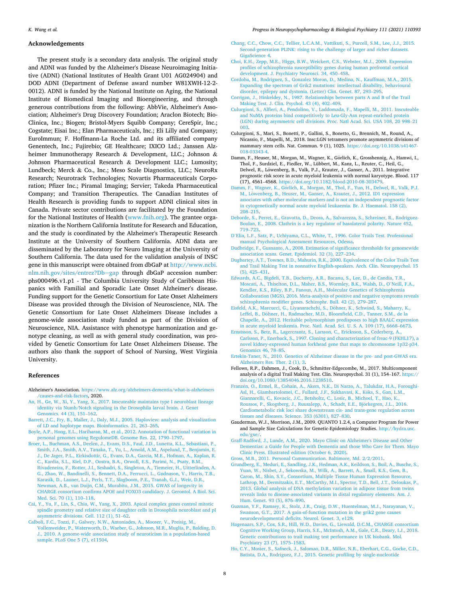#### <span id="page-7-0"></span>**Acknowledgements**

The present study is a secondary data analysis. The original study and ADNI was funded by the Alzheimer's Disease Neuroimaging Initiative (ADNI) (National Institutes of Health Grant U01 AG024904) and DOD ADNI (Department of Defense award number W81XWH-12-2- 0012). ADNI is funded by the National Institute on Aging, the National Institute of Biomedical Imaging and Bioengineering, and through generous contributions from the following: AbbVie, Alzheimer's Association; Alzheimer's Drug Discovery Foundation; Araclon Biotech; Bio-Clinica, Inc.; Biogen; Bristol-Myers Squibb Company; CereSpir, Inc.; Cogstate; Eisai Inc.; Elan Pharmaceuticals, Inc.; Eli Lilly and Company; EuroImmun; F. Hoffmann-La Roche Ltd. and its affiliated company Genentech, Inc.; Fujirebio; GE Healthcare; IXICO Ltd.; Janssen Alzheimer Immunotherapy Research & Development, LLC.; Johnson & Johnson Pharmaceutical Research & Development LLC.; Lumosity; Lundbeck; Merck & Co., Inc.; Meso Scale Diagnostics, LLC.; NeuroRx Research; Neurotrack Technologies; Novartis Pharmaceuticals Corporation; Pfizer Inc.; Piramal Imaging; Servier; Takeda Pharmaceutical Company; and Transition Therapeutics. The Canadian Institutes of Health Research is providing funds to support ADNI clinical sites in Canada. Private sector contributions are facilitated by the Foundation for the National Institutes of Health [\(www.fnih.org](http://www.fnih.org)). The grantee organization is the Northern California Institute for Research and Education, and the study is coordinated by the Alzheimer's Therapeutic Research Institute at the University of Southern California. ADNI data are disseminated by the Laboratory for Neuro Imaging at the University of Southern California. The data used for the validation analysis of INSC gene in this manuscript were obtained from dbGaP at [http://www.ncbi.](http://www.ncbi.nlm.nih.gov/sites/entrez?Db=gap)  [nlm.nih.gov/sites/entrez?Db](http://www.ncbi.nlm.nih.gov/sites/entrez?Db=gap)=gap through dbGaP accession number: phs000496.v1.p1 - The Columbia University Study of Caribbean Hispanics with Familial and Sporadic Late Onset Alzheimer's disease. Funding support for the Genetic Consortium for Late Onset Alzheimers Disease was provided through the Division of Neuroscience, NIA. The Genetic Consortium for Late Onset Alzheimers Disease includes a genome-wide association study funded as part of the Division of Neuroscience, NIA. Assistance with phenotype harmonization and genotype cleaning, as well as with general study coordination, was provided by Genetic Consortium for Late Onset Alzheimers Disease. The authors also thank the support of School of Nursing, West Virginia University.

#### **References**

- Alzheimer's Association. [https://www.alz.org/alzheimers-dementia/what-is-alzheimers](https://www.alz.org/alzheimers-dementia/what-is-alzheimers/causes-and-risk-factors) [/causes-and-risk-factors,](https://www.alz.org/alzheimers-dementia/what-is-alzheimers/causes-and-risk-factors) 2020.
- [An, H., Ge, W., Xi, Y., Yang, X., 2017. Inscuteable maintains type I neuroblast lineage](http://refhub.elsevier.com/S0278-5846(21)00152-4/rf0010) [identity via Numb/Notch signaling in the Drosophila larval brain. J. Genet](http://refhub.elsevier.com/S0278-5846(21)00152-4/rf0010) [Genomics. 44 \(3\), 151](http://refhub.elsevier.com/S0278-5846(21)00152-4/rf0010)–162.
- [Barrett, J.C., Fry, B., Maller, J., Daly, M.J., 2005. Haploview: analysis and visualization](http://refhub.elsevier.com/S0278-5846(21)00152-4/rf0020)  [of LD and haplotype maps. Bioinformatics. 21, 263](http://refhub.elsevier.com/S0278-5846(21)00152-4/rf0020)–265.
- [Boyle, A.P., Hong, E.L., Hariharan, M., et al., 2012. Annotation of functional variation in](http://refhub.elsevier.com/S0278-5846(21)00152-4/rf0030)  [personal genomes using RegulomeDB. Genome Res. 22, 1790](http://refhub.elsevier.com/S0278-5846(21)00152-4/rf0030)–1797.
- [Broer, L., Buchman, A.S., Deelen, J., Evans, D.S., Faul, J.D., Lunetta, K.L., Sebastiani, P.,](http://refhub.elsevier.com/S0278-5846(21)00152-4/rf0040)  [Smith, J.A., Smith, A.V., Tanaka, T., Yu, L., Arnold, A.M., Aspelund, T., Benjamin, E.](http://refhub.elsevier.com/S0278-5846(21)00152-4/rf0040)  [J., De Jager, P.L., Eirkisdottir, G., Evans, D.A., Garcia, M.E., Hofman, A., Kaplan, R.](http://refhub.elsevier.com/S0278-5846(21)00152-4/rf0040)  [C., Kardia, S.L., Kiel, D.P., Oostra, B.A., Orwoll, E.S., Parimi, N., Psaty, B.M.,](http://refhub.elsevier.com/S0278-5846(21)00152-4/rf0040) [Rivadeneira, F., Rotter, J.I., Seshadri, S., Singleton, A., Tiemeier, H., Uitterlinden, A.](http://refhub.elsevier.com/S0278-5846(21)00152-4/rf0040)  [G., Zhao, W., Bandinelli, S., Bennett, D.A., Ferrucci, L., Gudnason, V., Harris, T.B.,](http://refhub.elsevier.com/S0278-5846(21)00152-4/rf0040) [Karasik, D., Launer, L.J., Perls, T.T., Slagboom, P.E., Tranah, G.J., Weir, D.R.,](http://refhub.elsevier.com/S0278-5846(21)00152-4/rf0040) [Newman, A.B., van Duijn, C.M., Murabito, J.M., 2015. GWAS of longevity in](http://refhub.elsevier.com/S0278-5846(21)00152-4/rf0040) [CHARGE consortium confirms APOE and FOXO3 candidacy. J. Gerontol. A Biol. Sci.](http://refhub.elsevier.com/S0278-5846(21)00152-4/rf0040)  [Med. Sci. 70 \(1\), 110](http://refhub.elsevier.com/S0278-5846(21)00152-4/rf0040)–118.
- [Cai, Y., Yu, F., Lin, S., Chia, W., Yang, X., 2003. Apical complex genes control mitotic](http://refhub.elsevier.com/S0278-5846(21)00152-4/rf0045) [spindle geometry and relative size of daughter cells in Drosophila neuroblast and pI](http://refhub.elsevier.com/S0278-5846(21)00152-4/rf0045)  [asymmetric divisions. Cell. 112 \(1\), 51](http://refhub.elsevier.com/S0278-5846(21)00152-4/rf0045)–62.
- [Calboli, F.C., Tozzi, F., Galwey, N.W., Antoniades, A., Mooser, V., Preisig, M.,](http://refhub.elsevier.com/S0278-5846(21)00152-4/rf0050)  [Vollenweider, P., Waterworth, D., Waeber, G., Johnson, M.R., Muglia, P., Balding, D.](http://refhub.elsevier.com/S0278-5846(21)00152-4/rf0050)  [J., 2010. A genome-wide association study of neuroticism in a population-based](http://refhub.elsevier.com/S0278-5846(21)00152-4/rf0050) [sample. PLoS One 5 \(7\), e11504.](http://refhub.elsevier.com/S0278-5846(21)00152-4/rf0050)
- [Chang, C.C., Chow, C.C., Tellier, L.C.A.M., Vattikuti, S., Purcell, S.M., Lee, J.J., 2015.](http://refhub.elsevier.com/S0278-5846(21)00152-4/rf0055)  [Second-generation PLINK: rising to the challenge of larger and richer datasets.](http://refhub.elsevier.com/S0278-5846(21)00152-4/rf0055)  [GigaScience 4](http://refhub.elsevier.com/S0278-5846(21)00152-4/rf0055).
- [Choi, K.H., Zepp, M.E., Higgs, B.W., Weickert, C.S., Webster, M.J., 2009. Expression](http://refhub.elsevier.com/S0278-5846(21)00152-4/rf0060)  [profiles of schizophrenia susceptibility genes during human prefrontal cortical](http://refhub.elsevier.com/S0278-5846(21)00152-4/rf0060)  [development. J. Psychiatry Neurosci. 34, 450](http://refhub.elsevier.com/S0278-5846(21)00152-4/rf0060)–458.
- [Cordoba, M., Rodriguez, S., Gonzalez Moron, D., Medina, N., Kauffman, M.A., 2015.](http://refhub.elsevier.com/S0278-5846(21)00152-4/rf0065)  [Expanding the spectrum of Grik2 mutations: intellectual disability, behavioural](http://refhub.elsevier.com/S0278-5846(21)00152-4/rf0065)  [disorder, epilepsy and dystonia. \(Letter\) Clin. Genet. 87, 293](http://refhub.elsevier.com/S0278-5846(21)00152-4/rf0065)–295.
- [Corrigan, J., Hinkeldey, N., 1987. Relationships between parts A and B of the Trail](http://refhub.elsevier.com/S0278-5846(21)00152-4/rf0075) [Making Test. J. Clin. Psychol. 43 \(4\), 402](http://refhub.elsevier.com/S0278-5846(21)00152-4/rf0075)–409.
- [Culurgioni, S., Alfieri, A., Pendolino, V., Laddomada, F., Mapelli, M., 2011. Inscuteable](http://refhub.elsevier.com/S0278-5846(21)00152-4/rf0080)  [and NuMA proteins bind competitively to Leu-Gly-Asn repeat-enriched protein](http://refhub.elsevier.com/S0278-5846(21)00152-4/rf0080)  [\(LGN\) during asymmetric cell divisions. Proc. Natl Acad. Sci. USA 108, 20 998](http://refhub.elsevier.com/S0278-5846(21)00152-4/rf0080)–21 [003](http://refhub.elsevier.com/S0278-5846(21)00152-4/rf0080).
- Culurgioni, S., Mari, S., Bonetti, P., Gallini, S., Bonetto, G., Brennich, M., Round, A., Nicassio, F., Mapelli, M., 2018. Insc:LGN tetramers promote asymmetric divisions of mammary stem cells. Nat. Commun. 9 (1), 1025. [https://doi.org/10.1038/s41467-](https://doi.org/10.1038/s41467-018-03343-4)  [018-03343-4.](https://doi.org/10.1038/s41467-018-03343-4)
- Damm, F., Heuser, M., Morgan, M., Wagner, K., Görlich, K., Grosshennig, A., Hamwi, I., Thol, F., Surdziel, E., Fiedler, W., Lübbert, M., Kanz, L., Reuter, C., Heil, G., Delwel, R., Löwenberg, B., Valk, P.J., Krauter, J., Ganser, A., 2011. Integrative prognostic risk score in acute myeloid leukemia with normal karyotype. Blood. 117 (17), 4561–4568. <https://doi.org/10.1182/blood-2010-08-303479>.
- Damm, F., Wagner, K., Görlich, K., Morgan, M., Thol, F., Yun, H., Delwel, R., Valk, P.J. M., Löwenberg, B., Heuser, M., Ganser, A., Krauter, J., 2012. ID1 expression [associates with other molecular markers and is not an independent prognostic factor](http://refhub.elsevier.com/S0278-5846(21)00152-4/rf0095)  [in cytogenetically normal acute myeloid leukaemia. Br. J. Haematol. 158 \(2\),](http://refhub.elsevier.com/S0278-5846(21)00152-4/rf0095)  208–[215](http://refhub.elsevier.com/S0278-5846(21)00152-4/rf0095).
- [Deborde, S., Perret, E., Gravotta, D., Deora, A., Salvarezza, S., Schreiner, R., Rodriguez-](http://refhub.elsevier.com/S0278-5846(21)00152-4/rf0100)[Boulan, E., 2008. Clathrin is a key regulator of basolateral polarity. Nature 452,](http://refhub.elsevier.com/S0278-5846(21)00152-4/rf0100)  719–[723](http://refhub.elsevier.com/S0278-5846(21)00152-4/rf0100).
- D'[Elia, L.F., Satz, P., Uchiyama, C.L., White, T., 1996. Color Trails Test. Professional](http://refhub.elsevier.com/S0278-5846(21)00152-4/rf0105)  [manual Psychological Assessment Resources, Odessa.](http://refhub.elsevier.com/S0278-5846(21)00152-4/rf0105)
- [Dudbridge, F., Gusnanto, A., 2008. Estimation of significance thresholds for genomewide](http://refhub.elsevier.com/S0278-5846(21)00152-4/rf0110)  [association scans. Genet. Epidemiol. 32 \(3\), 227](http://refhub.elsevier.com/S0278-5846(21)00152-4/rf0110)–234.
- [Dugbartey, A.T., Townes, B.D., Mahurin, R.K., 2000. Equivalence of the Color Trails Test](http://refhub.elsevier.com/S0278-5846(21)00152-4/rf0115)  [and Trail Making Test in nonnative English-speakers. Arch. Clin. Neuropsychol. 15](http://refhub.elsevier.com/S0278-5846(21)00152-4/rf0115)  [\(5\), 425](http://refhub.elsevier.com/S0278-5846(21)00152-4/rf0115)–431.
- [Edwards, A.C., Bigdeli, T.B., Docherty, A.R., Bacanu, S., Lee, D., de Candia, T.R.,](http://refhub.elsevier.com/S0278-5846(21)00152-4/rf0120)  [Moscati, A., Thiselton, D.L., Maher, B.S., Wormley, B.K., Walsh, D., O](http://refhub.elsevier.com/S0278-5846(21)00152-4/rf0120)'Neill, F.A., [Kendler, K.S., Riley, B.P., Fanous, A.H., Molecular Genetics of Schizophrenia](http://refhub.elsevier.com/S0278-5846(21)00152-4/rf0120) [Collaboration \(MGS\), 2016. Meta-analysis of positive and negative symptoms reveals](http://refhub.elsevier.com/S0278-5846(21)00152-4/rf0120)  [schizophrenia modifier genes. Schizophr. Bull. 42 \(2\), 279](http://refhub.elsevier.com/S0278-5846(21)00152-4/rf0120)–287.
- Eisfeld, A.K., Marcucci, G., Liyanarachchi, S., Döhner, K., Schwind, S., Maharry, K., Leffel, B., Döhner, H., Radmacher, M.D., Bloomfield, C.D., Tanner, S.M., de la [Chapelle, A., 2012. Heritable polymorphism predisposes to high BAALC expression](http://refhub.elsevier.com/S0278-5846(21)00152-4/rf0125) [in acute myeloid leukemia. Proc. Natl. Acad. Sci. U. S. A. 109 \(17\), 6668](http://refhub.elsevier.com/S0278-5846(21)00152-4/rf0125)–6673.
- [Ernstsson, S., Betz, R., Lagercrantz, S., Larsson, C., Ericksson, S., Cederberg, A.,](http://refhub.elsevier.com/S0278-5846(21)00152-4/rf0130) [Carlsson, P., Enerback, S., 1997. Cloning and characterization of freac-9 \(FKHL17\), a](http://refhub.elsevier.com/S0278-5846(21)00152-4/rf0130)  [novel kidney-expressed human forkhead gene that maps to chromosome 1p32-p34.](http://refhub.elsevier.com/S0278-5846(21)00152-4/rf0130)  [Genomics 46, 78](http://refhub.elsevier.com/S0278-5846(21)00152-4/rf0130)–85.
- [Ertekin-Taner, N., 2010. Genetics of Alzheimer disease in the pre- and post-GWAS era.](http://refhub.elsevier.com/S0278-5846(21)00152-4/rf0135) [Alzheimers Res. Ther. 2 \(1\), 3](http://refhub.elsevier.com/S0278-5846(21)00152-4/rf0135).
- Fellows, R.P., Dahmen, J., Cook, D., Schmitter-Edgecombe, M., 2017. Multicomponent analysis of a digital Trail Making Test. Clin. Neuropsychol. 31 (1), 154–167. [https://](https://doi.org/10.1080/13854046.2016.1238510)  [doi.org/10.1080/13854046.2016.1238510.](https://doi.org/10.1080/13854046.2016.1238510)
- Franz´[en, O., Ermel, R., Cohain, A., Akers, N.K., Di Narzo, A., Talukdar, H.A., Foroughi-](http://refhub.elsevier.com/S0278-5846(21)00152-4/rf0145)Asl, H., Giambartolomei, C., Fullard, J.F., Sukhavasi, K., Köks, S., Gan, L.M., [Giannarelli, C., Kovacic, J.C., Betsholtz, C., Losic, B., Michoel, T., Hao, K.,](http://refhub.elsevier.com/S0278-5846(21)00152-4/rf0145) Roussos, P., Skogsberg, J., Ruusalepp, A., Schadt, E.E., Björkegren, J.L., 2016. [Cardiometabolic risk loci share downstream cis- and trans-gene regulation across](http://refhub.elsevier.com/S0278-5846(21)00152-4/rf0145)  [tissues and diseases. Science. 353 \(6301\), 827](http://refhub.elsevier.com/S0278-5846(21)00152-4/rf0145)–830.
- Gauderman, W.J., Morrison, J.M., 2009. QUANTO 1.2.4, a Computer Program for Power and Sample Size Calculations for Genetic-Epidemiology Studies. [http://hydra.usc.](http://hydra.usc.edu/gxe/) [edu/gxe/.](http://hydra.usc.edu/gxe/)
- [Graff-Radford, J., Lunde, A.M., 2020. Mayo Clinic on Alzheimer's Disease and Other](http://refhub.elsevier.com/S0278-5846(21)00152-4/rf0160) [Dementias: a Guide for People with Dementia and those Who Care for Them. Mayo](http://refhub.elsevier.com/S0278-5846(21)00152-4/rf0160)  [Clinic Press. Illustrated edition \(October 6, 2020\)](http://refhub.elsevier.com/S0278-5846(21)00152-4/rf0160).
- [Gross, M.B., 2011. Personal Communication. Baltimore, Md. 2/2/2011.](http://refhub.elsevier.com/S0278-5846(21)00152-4/rf0165)
- [Grundberg, E., Meduri, E., Sandling, J.K., Hedman, A.K., Keildson, S., Buil, A., Busche, S.,](http://refhub.elsevier.com/S0278-5846(21)00152-4/rf0170)  [Yuan, W., Nisbet, J., Sekowska, M., Wilk, A., Barrett, A., Small, K.S., Gem, B.,](http://refhub.elsevier.com/S0278-5846(21)00152-4/rf0170) [Caron, M., Shin, S.Y., Consortium, Multiple Tissue Human Expression Resource,](http://refhub.elsevier.com/S0278-5846(21)00152-4/rf0170) [Lathrop, M., Dermitzakis, E.T., McCarthy, M.I., Spector, T.D., Bell, J.T., Deloukas, P.,](http://refhub.elsevier.com/S0278-5846(21)00152-4/rf0170)  [2013. Global analysis of DNA methylation variation in adipose tissue from twins](http://refhub.elsevier.com/S0278-5846(21)00152-4/rf0170) [reveals links to disease-associated variants in distal regulatory elements. Am. J.](http://refhub.elsevier.com/S0278-5846(21)00152-4/rf0170) [Hum. Genet. 93 \(5\), 876](http://refhub.elsevier.com/S0278-5846(21)00152-4/rf0170)–890.
- [Guzman, Y.F., Ramsey, K., Stolz, J.R., Craig, D.W., Huentelman, M.J., Narayanan, V.,](http://refhub.elsevier.com/S0278-5846(21)00152-4/rf0175) [Swanson, G.T., 2017. A gain-of-function mutation in the grik2 gene causes](http://refhub.elsevier.com/S0278-5846(21)00152-4/rf0175)  [neurodevelopmental deficits. Neurol. Genet. 3, e129.](http://refhub.elsevier.com/S0278-5846(21)00152-4/rf0175)
- [Hagenaars, S.P., Cox, S.R., Hill, W.D., Davies, G., Liewald, D.C.M., CHARGE consortium](http://refhub.elsevier.com/S0278-5846(21)00152-4/rf0180)  [Cognitive Working Group, Harris, S.E., McIntosh, A.M., Gale, C.R., Deary, I.J., 2018.](http://refhub.elsevier.com/S0278-5846(21)00152-4/rf0180)  [Genetic contributions to trail making test performance in UK biobank. Mol.](http://refhub.elsevier.com/S0278-5846(21)00152-4/rf0180) [Psychiatry 23 \(7\), 1575](http://refhub.elsevier.com/S0278-5846(21)00152-4/rf0180)–1583.
- [Ho, C.Y., Mosier, S., Safneck, J., Salomao, D.R., Miller, N.R., Eberhart, C.G., Gocke, C.D.,](http://refhub.elsevier.com/S0278-5846(21)00152-4/rf0190)  [Batista, D.A., Rodriguez, F.J., 2015. Genetic profiling by single-nucleotide](http://refhub.elsevier.com/S0278-5846(21)00152-4/rf0190)